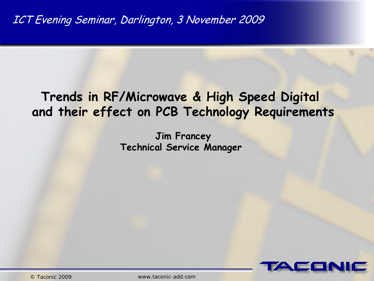## **Trends in RF/Microwave & High Speed Digital and their effect on PCB Technology Requirements**

**Jim Francey Technical Service Manager** 

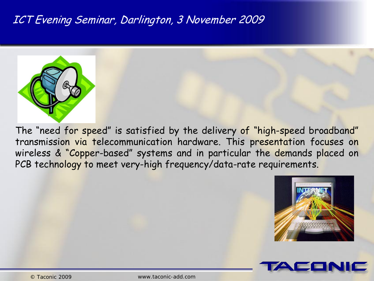

The "need for speed" is satisfied by the delivery of "high-speed broadband" transmission via telecommunication hardware. This presentation focuses on wireless & "Copper-based" systems and in particular the demands placed on PCB technology to meet very-high frequency/data-rate requirements.



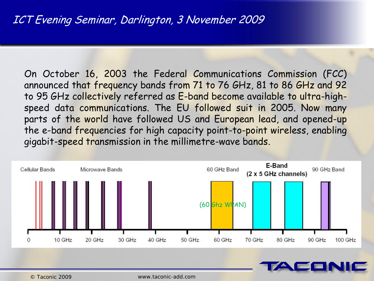On October 16, 2003 the Federal Communications Commission (FCC) announced that frequency bands from 71 to 76 GHz, 81 to 86 GHz and 92 to 95 GHz collectively referred as E-band become available to ultra-highspeed data communications. The EU followed suit in 2005. Now many parts of the world have followed US and European lead, and opened-up the e-band frequencies for high capacity point-to-point wireless, enabling gigabit-speed transmission in the millimetre-wave bands.



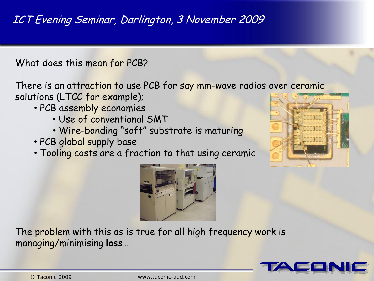What does this mean for PCB?

There is an attraction to use PCB for say mm-wave radios over ceramic solutions (LTCC for example);

- PCB assembly economies
	- Use of conventional SMT
	- Wire-bonding "soft" substrate is maturing
- PCB global supply base
- Tooling costs are a fraction to that using ceramic





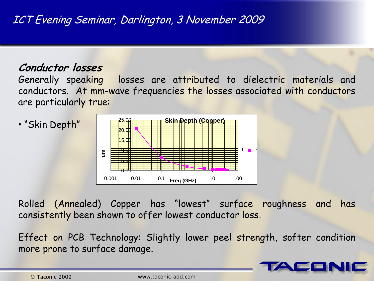### **Conductor losses**

Generally speaking losses are attributed to dielectric materials and conductors. At mm-wave frequencies the losses associated with conductors are particularly true:



Rolled (Annealed) Copper has "lowest" surface roughness and has consistently been shown to offer lowest conductor loss.

Effect on PCB Technology: Slightly lower peel strength, softer condition more prone to surface damage.

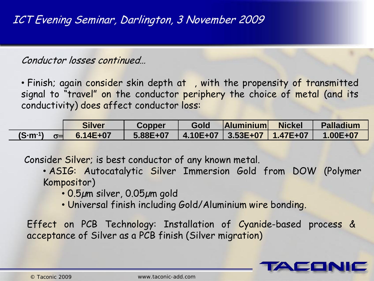Conductor losses continued…

• Finish; again consider skin depth at , with the propensity of transmitted signal to "travel" on the conductor periphery the choice of metal (and its conductivity) does affect conductor loss:

|                   | <b>Silver</b>         | <b>Copper</b>                               | Gold | <b>Aluminium Nickel</b> | <b>Alladium</b> |
|-------------------|-----------------------|---------------------------------------------|------|-------------------------|-----------------|
| $(S\cdot m^{-1})$ | $\sigma = 6.14E + 07$ | $5.88E+07$   4.10E+07   3.53E+07   1.47E+07 |      |                         | $1.00E + 07$    |

Consider Silver; is best conductor of any known metal.

• ASIG: Autocatalytic Silver Immersion Gold from DOW (Polymer Kompositor)

- 0.5µm silver, 0.05µm gold
- Universal finish including Gold/Aluminium wire bonding.

Effect on PCB Technology: Installation of Cyanide-based process & acceptance of Silver as a PCB finish (Silver migration)

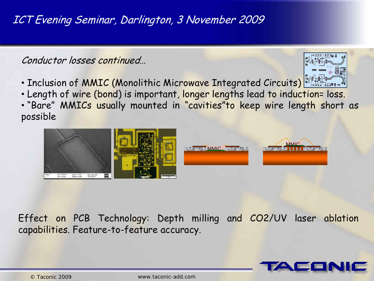Conductor losses continued…

- Inclusion of MMIC (Monolithic Microwave Integrated Circuits) The
- Length of wire (bond) is important, longer lengths lead to induction= loss.
- "Bare" MMICs usually mounted in "cavities"to keep wire length short as possible



Effect on PCB Technology: Depth milling and CO2/UV laser ablation capabilities. Feature-to-feature accuracy.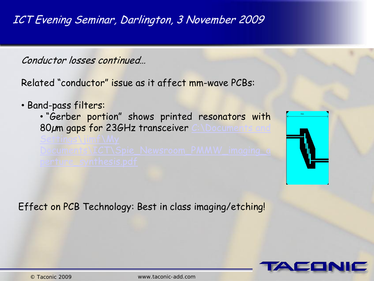Conductor losses continued…

Related "conductor" issue as it affect mm-wave PCBs:

• Band-pass filters:

• "Gerber portion" shows printed resonators [w](C:/Documents and Settings/jimf/My Documents/ICT/Spie_Newsroom_PMMW_imaging_aperture_synthesis.pdf)ith 80µm gaps for 23[G](C:/Documents and Settings/jimf/My Documents/ICT/Spie_Newsroom_PMMW_imaging_aperture_synthesis.pdf)Hz transceiver C:\Documen

Effect on PCB Technology: Best in class imaging/etching!



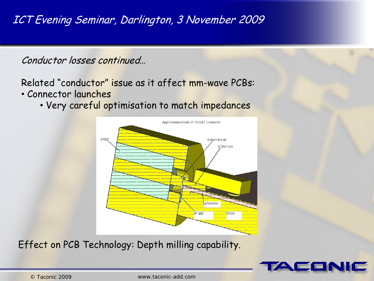Conductor losses continued…

# Related "conductor" issue as it affect mm-wave PCBs:

- Connector launches
	- Very careful optimisation to match impedances



Effect on PCB Technology: Depth milling capability.

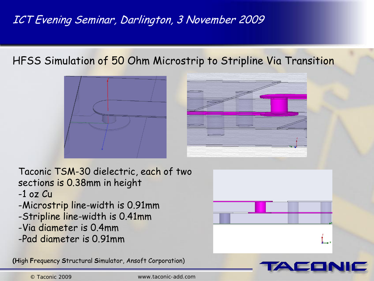HFSS Simulation of 50 Ohm Microstrip to Stripline Via Transition





Taconic TSM-30 dielectric, each of two sections is 0.38mm in height

- -1 oz Cu
- -Microstrip line-width is 0.91mm
- -Stripline line-width is 0.41mm
- -Via diameter is 0.4mm
- -Pad diameter is 0.91mm

**(H**igh **F**requency **S**tructural **S**imulator, Ansoft Corporation)



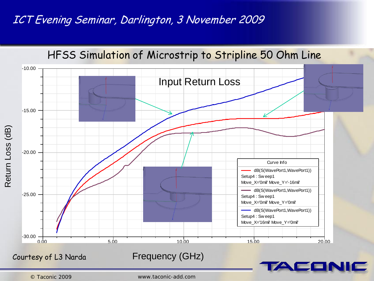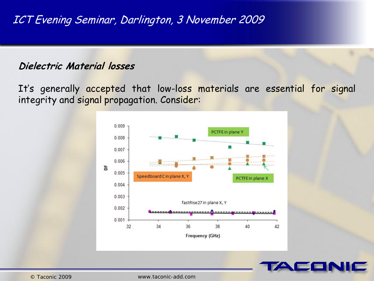#### **Dielectric Material losses**

It's generally accepted that low-loss materials are essential for signal integrity and signal propagation. Consider: